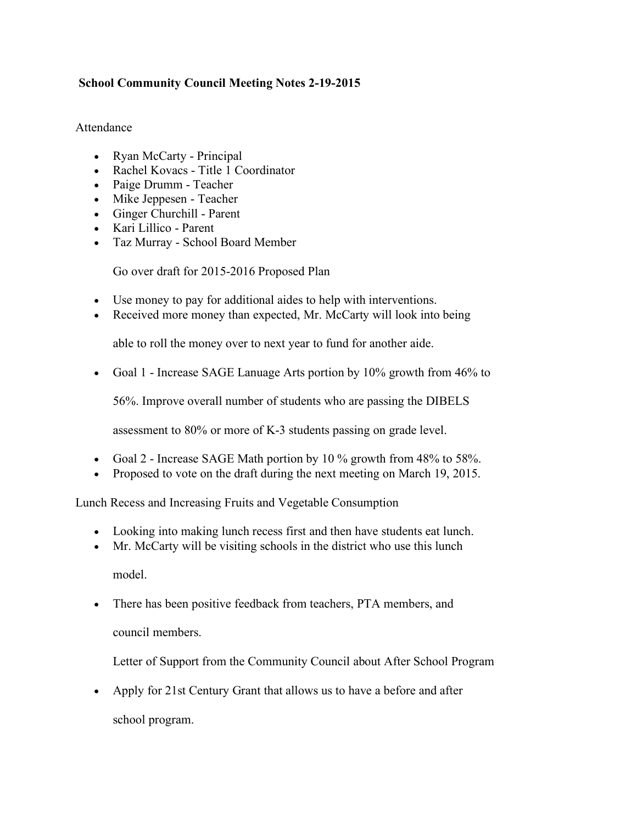## **School Community Council Meeting Notes 2-19-2015**

## Attendance

- Ryan McCarty Principal
- Rachel Kovacs Title 1 Coordinator
- Paige Drumm Teacher
- Mike Jeppesen Teacher
- Ginger Churchill Parent
- Kari Lillico Parent
- Taz Murray School Board Member

Go over draft for 2015-2016 Proposed Plan

- Use money to pay for additional aides to help with interventions.
- Received more money than expected, Mr. McCarty will look into being

able to roll the money over to next year to fund for another aide.

• Goal 1 - Increase SAGE Lanuage Arts portion by 10% growth from 46% to

56%. Improve overall number of students who are passing the DIBELS

assessment to 80% or more of K-3 students passing on grade level.

- Goal 2 Increase SAGE Math portion by 10 % growth from 48% to 58%.
- Proposed to vote on the draft during the next meeting on March 19, 2015.

Lunch Recess and Increasing Fruits and Vegetable Consumption

- Looking into making lunch recess first and then have students eat lunch.
- Mr. McCarty will be visiting schools in the district who use this lunch model.
- There has been positive feedback from teachers, PTA members, and

council members.

Letter of Support from the Community Council about After School Program

• Apply for 21st Century Grant that allows us to have a before and after school program.